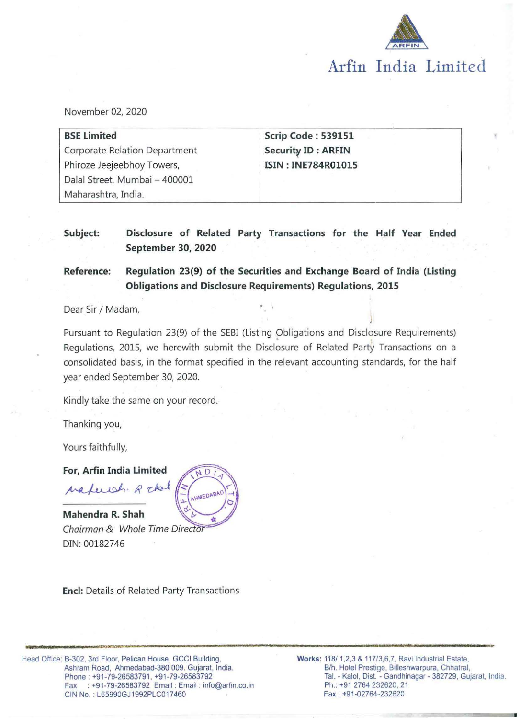

November 02, 2020

| <b>BSE Limited</b>            | Scrip Code: 539151        |  |
|-------------------------------|---------------------------|--|
| Corporate Relation Department | <b>Security ID: ARFIN</b> |  |
| Phiroze Jeejeebhoy Towers,    | <b>ISIN: INE784R01015</b> |  |
| Dalal Street, Mumbai - 400001 |                           |  |
| Maharashtra, India.           |                           |  |

# **Subject: Disclosure of Related Party Transactions for the Half Vear Ended September 30, 2020**

**Reference: Regulation 23(9} of the Securities and Exchange Board of India (Listing Obligations and Disclosure Requirements} Regulations, 2015** 

Dear Sir / Madam,

Pursuant to Regulation 23(9) of the SEBI (Listing Obligations and Disclosure Requirements) Regulations, 2015, we herewith submit the Disclosure of Related Party Transactions on a consolidated basis, in the format specified in the relevant accounting standards, for the half year ended September 30, 2020.

Kindly take the same on your record.

Thanking you,

Yours faithfully,

**For, Arfin India Limited**  Materiah R chal

**Mahendra R. Shah**  Chairman & Whole Time Director DIN: 00182746



**Encl:** Details of Related Party Transactions

Head Office: 8-302, 3rd Floor, Pelican House, GCCI Building, Ashram Road, Ahmedabad-380 009. Gujarat, India. Phone : +91-79-26583791. +91-79-26583792 Fax : +91-79-26583792 Email : Email : info@arfin.co.in CIN No. : L65990GJ1992PLC017460

**Works:** 118/ 1,2,3 & 117/3,6,7, Ravi Industrial Estate, B/h. Hotel Prestige, Billeshwarpura, Chhatral, Tai. - Kaloi, Dist. - Gandhinagar - 382729, Gujarat, India. Ph.: +91 2764 232620, 21 Fax: +91-02764··232620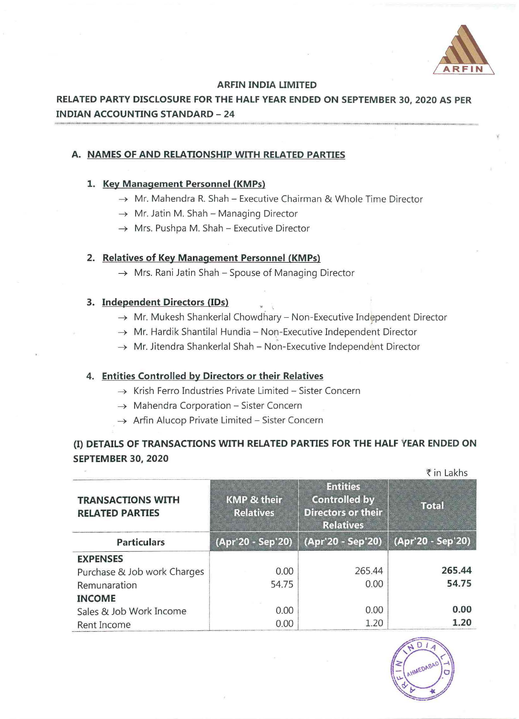

#### **ARFIN INDIA LIMITED**

# **RELATED PARTY DISCLOSURE FOR THE HALF VEAR ENDED ON SEPTEMBER 30, 2020 AS PER INDIAN ACCOUNTING STANDARD- 24**

### **A. NAMES OF AND RELATIONSHIP WITH RELATED PARTIES**

### **1. Key Management Personnel (KMPs)**

- $\rightarrow$  Mr. Mahendra R. Shah Executive Chairman & Whole Time Director
- $\rightarrow$  Mr. Jatin M. Shah Managing Director
- $\rightarrow$  Mrs. Pushpa M. Shah Executive Director

## 2. Relatives of Key Management Personnel (KMPs)

 $\rightarrow$  Mrs. Rani Jatin Shah - Spouse of Managing Director

#### **3. Independent Directors** (IDs)

- $\rightarrow$  Mr. Mukesh Shankerlal Chowdhary Non-Executive Independent Director
- $\rightarrow$  Mr. Hardik Shantilal Hundia Non-Executive Independent Director
- $\rightarrow$  Mr. Jitendra Shankerlal Shah Non-Executive Independent Director

### **4. Entities Controlled by Directors or their Relatives**

- $\rightarrow$  Krish Ferro Industries Private Limited Sister Concern
- $\rightarrow$  Mahendra Corporation Sister Concern
- $\rightarrow$  Arfin Alucop Private Limited Sister Concern

# (I) **DETAILS OF TRANSACTIONS WITH RELATED PARTIES FOR THE HALF YEAR ENDED ON SEPTEMBER 30, 2020**

| <b>TRANSACTIONS WITH</b><br><b>RELATED PARTIES</b> | <b>KMP &amp; their</b><br><b>Relatives</b> | <b>Entities</b><br><b>Controlled by</b><br><b>Directors or their</b><br><b>Relatives</b> | Total             |  |
|----------------------------------------------------|--------------------------------------------|------------------------------------------------------------------------------------------|-------------------|--|
| <b>Particulars</b>                                 | (Apr'20 - Sep'20)                          | (Apr'20 - Sep'20)                                                                        | (Apr'20 - Sep'20) |  |
| <b>EXPENSES</b>                                    |                                            |                                                                                          |                   |  |
| Purchase & Job work Charges                        | 0.00                                       | 265.44                                                                                   | 265.44            |  |
| Remunaration                                       | 54.75                                      | 0.00                                                                                     | 54.75             |  |
| <b>INCOME</b>                                      |                                            |                                                                                          |                   |  |
| Sales & Job Work Income                            | 0.00                                       | 0.00                                                                                     | 0.00              |  |
| Rent Income                                        | 0.00                                       | 1.20                                                                                     | 1.20              |  |

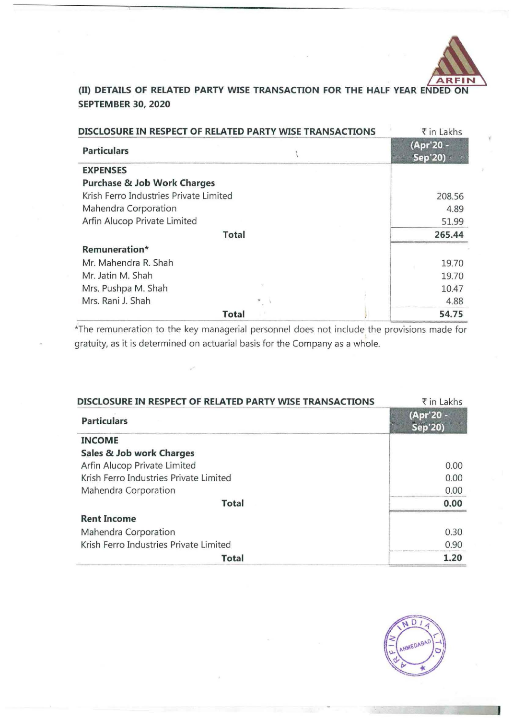

# (II) **DETAILS OF RELATED PARTY WISE TRANSACTION FOR THE HALF YEAR ENDED ON SEPTEMBER 30, 2020**

| DISCLOSURE IN RESPECT OF RELATED PARTY WISE TRANSACTIONS |              |  | ₹ in Lakhs           |
|----------------------------------------------------------|--------------|--|----------------------|
| <b>Particulars</b>                                       |              |  | (Apr'20 -<br>Sep'20) |
| <b>EXPENSES</b>                                          |              |  |                      |
| <b>Purchase &amp; Job Work Charges</b>                   |              |  |                      |
| Krish Ferro Industries Private Limited                   |              |  | 208.56               |
| Mahendra Corporation                                     |              |  | 4.89                 |
| Arfin Alucop Private Limited                             |              |  | 51.99                |
|                                                          | <b>Total</b> |  | 265.44               |
| Remuneration*                                            |              |  |                      |
| Mr. Mahendra R. Shah                                     |              |  | 19.70                |
| Mr. Jatin M. Shah                                        |              |  | 19.70                |
| Mrs. Pushpa M. Shah                                      |              |  | 10.47                |
| Mrs. Rani J. Shah                                        |              |  | 4.88                 |
|                                                          | Total        |  | 54.75                |

\*The remuneration to the key managerial personnel does not include the provisions made for gratuity, as it is determined on actuarial basis for the Company as a whole.

| DISCLOSURE IN RESPECT OF RELATED PARTY WISE TRANSACTIONS | ₹ in Lakhs           |
|----------------------------------------------------------|----------------------|
| <b>Particulars</b>                                       | (Apr'20 -<br>Sep'20) |
| <b>INCOME</b>                                            |                      |
| Sales & Job work Charges                                 |                      |
| Arfin Alucop Private Limited                             | 0.00                 |
| Krish Ferro Industries Private Limited                   | 0.00                 |
| Mahendra Corporation                                     | 0.00                 |
| <b>Total</b>                                             | 0.00                 |
| <b>Rent Income</b>                                       |                      |
| Mahendra Corporation                                     | 0.30                 |
| Krish Ferro Industries Private Limited                   | 0.90                 |
| <b>Total</b>                                             | 1.20                 |

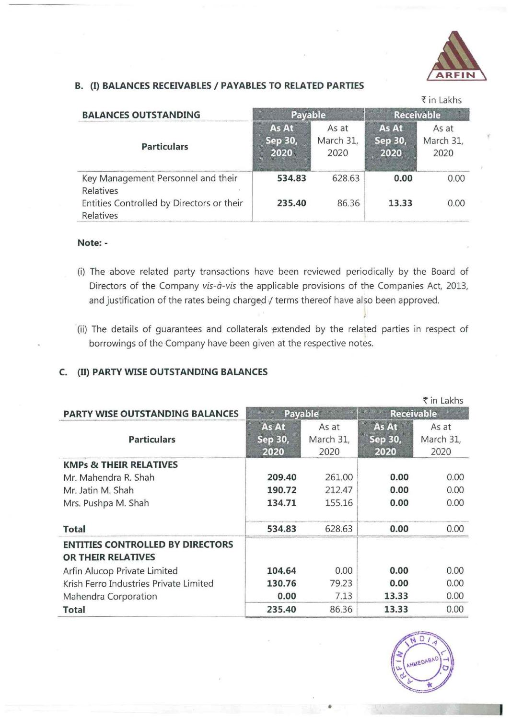

## **B.** {I) **BALANCES RECEIVABLES I PAYABLES TO RELATED PARTIES**

|                                                        |                          |                            |                          | ₹ in Lakhs                 |
|--------------------------------------------------------|--------------------------|----------------------------|--------------------------|----------------------------|
| <b>BALANCES OUTSTANDING</b>                            | Payable                  |                            | <b>Receivable</b>        |                            |
| <b>Particulars</b>                                     | As At<br>Sep 30,<br>2020 | As at<br>March 31,<br>2020 | As At<br>Sep 30,<br>2020 | As at<br>March 31,<br>2020 |
| Key Management Personnel and their<br>Relatives        | 534.83                   | 628.63                     | 0.00                     | 0.00                       |
| Entities Controlled by Directors or their<br>Relatives | 235.40                   | 86.36                      | 13.33                    | 0.00                       |

### **Note:** -

- (i) The above related party transactions have been reviewed periodically by the Board of Directors of the Company *vis-à-vis* the applicable provisions of the Companies Act, 2013, and justification of the rates being charged / terms thereof have also been approved.
- (ii) The details of guarantees and collaterals extended by the related parties in respect of borrowings of the Company have been given at the respective notes.

# **C.** {II) **PARTY WISE OUTSTANDING BALANCES**

|                                                               |                          |                            |                          | ₹ in Lakhs                 |
|---------------------------------------------------------------|--------------------------|----------------------------|--------------------------|----------------------------|
| <b>PARTY WISE OUTSTANDING BALANCES</b>                        | Payable                  |                            | <b>Receivable</b>        |                            |
| <b>Particulars</b>                                            | As At<br>Sep 30,<br>2020 | As at<br>March 31,<br>2020 | As At<br>Sep 30,<br>2020 | As at<br>March 31,<br>2020 |
| <b>KMPs &amp; THEIR RELATIVES</b>                             |                          |                            |                          |                            |
| Mr. Mahendra R. Shah                                          | 209.40                   | 261.00                     | 0.00                     | 0.00                       |
| Mr. Jatin M. Shah                                             | 190.72                   | 212.47                     | 0.00                     | 0.00                       |
| Mrs. Pushpa M. Shah                                           | 134.71                   | 155.16                     | 0.00                     | 0.00                       |
| <b>Total</b>                                                  | 534.83                   | 628.63                     | 0.00                     | 0.00                       |
| <b>ENTITIES CONTROLLED BY DIRECTORS</b><br>OR THEIR RELATIVES |                          |                            |                          |                            |
| Arfin Alucop Private Limited                                  | 104.64                   | 0.00                       | 0.00                     | 0.00                       |
| Krish Ferro Industries Private Limited                        | 130.76                   | 79.23                      | 0.00                     | 0.00                       |
| Mahendra Corporation                                          | 0.00                     | 7.13                       | 13.33                    | 0.00                       |
| <b>Total</b>                                                  | 235.40                   | 86.36                      | 13.33                    | 0.00                       |

 $\Box$ UFS

•